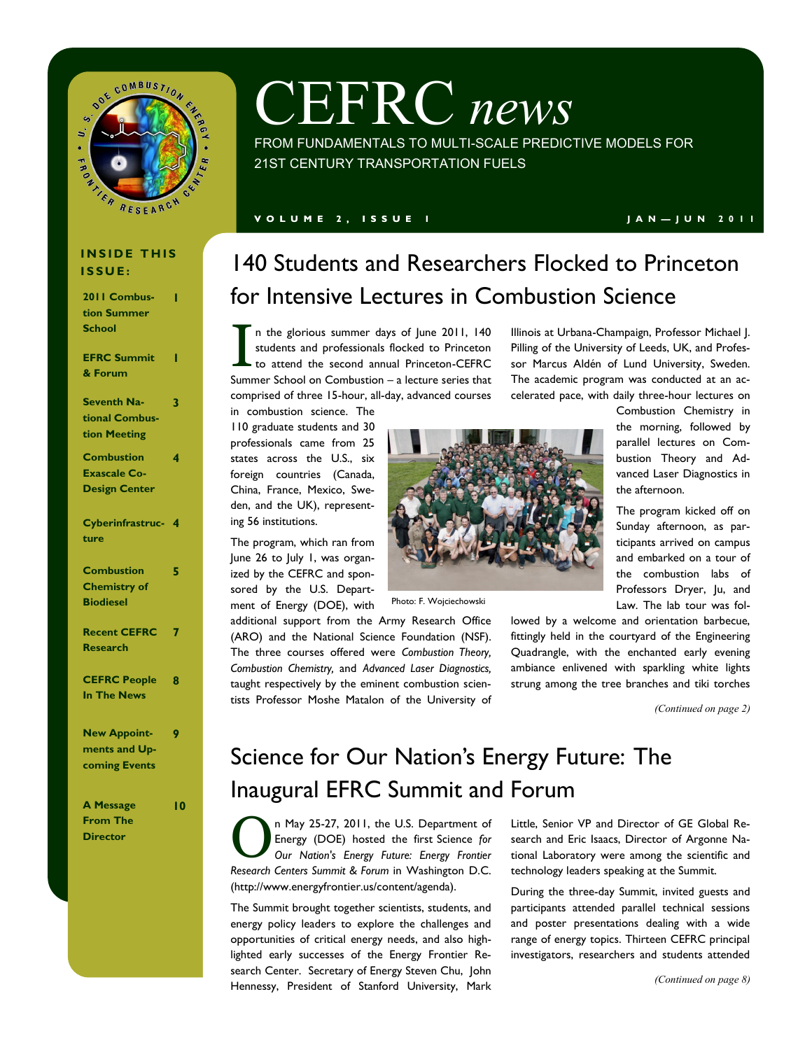

# CEFRC *news*

FROM FUNDAMENTALS TO MULTI-SCALE PREDICTIVE MODELS FOR 21ST CENTURY TRANSPORTATION FUELS

#### **V O L U M E 2 , I S S U E 1 J A N — J U N 2 0 1 1**

#### **INSIDE THIS I S S U E :**

| 2011 Combus-         | ı |
|----------------------|---|
| tion Summer          |   |
| <b>School</b>        |   |
|                      |   |
| <b>EFRC Summit</b>   | ı |
| & Forum              |   |
|                      |   |
| <b>Seventh Na-</b>   | 3 |
| tional Combus-       |   |
| tion Meeting         |   |
| <b>Combustion</b>    | 4 |
| <b>Exascale Co-</b>  |   |
| <b>Design Center</b> |   |
|                      |   |
| Cyberinfrastruc-     | 4 |
| ture                 |   |
|                      |   |
| <b>Combustion</b>    | 5 |
| <b>Chemistry of</b>  |   |
| <b>Biodiesel</b>     |   |
|                      |   |
| <b>Recent CEFRC</b>  | 7 |
| <b>Research</b>      |   |
|                      |   |
| <b>CEFRC People</b>  | 8 |
| <b>In The News</b>   |   |
|                      |   |
| <b>New Appoint-</b>  | 9 |
| ments and Up-        |   |
| <b>coming Events</b> |   |
|                      |   |
|                      |   |

| <b>A Message</b> |  |
|------------------|--|
| From The         |  |
| Director         |  |

**10**

# 140 Students and Researchers Flocked to Princeton for Intensive Lectures in Combustion Science

I n the glorious summer days of June 2011, 140 students and professionals flocked to Princeton to attend the second annual Princeton-CEFRC Summer School on Combustion – a lecture series that comprised of three 15-hour, all-day, advanced courses

in combustion science. The 110 graduate students and 30 professionals came from 25 states across the U.S., six foreign countries (Canada, China, France, Mexico, Sweden, and the UK), representing 56 institutions.

The program, which ran from June 26 to July 1, was organized by the CEFRC and sponsored by the U.S. Department of Energy (DOE), with

additional support from the Army Research Office (ARO) and the National Science Foundation (NSF). The three courses offered were *Combustion Theory, Combustion Chemistry,* and *Advanced Laser Diagnostics,*  taught respectively by the eminent combustion scientists Professor Moshe Matalon of the University of



Photo: F. Wojciechowski

Illinois at Urbana-Champaign, Professor Michael J. Pilling of the University of Leeds, UK, and Professor [Marcus Aldén](http://www.princeton.edu/cefrc/combustion-summer-school/lecturers/#comp00004d3889b200000010b77dcc) of Lund University, Sweden. The academic program was conducted at an accelerated pace, with daily three-hour lectures on

> Combustion Chemistry in the morning, followed by parallel lectures on Combustion Theory and Advanced Laser Diagnostics in the afternoon.

> The program kicked off on Sunday afternoon, as participants arrived on campus and embarked on a tour of the combustion labs of Professors Dryer, Ju, and Law. The lab tour was fol-

lowed by a welcome and orientation barbecue, fittingly held in the courtyard of the Engineering Quadrangle, with the enchanted early evening ambiance enlivened with sparkling white lights strung among the tree branches and tiki torches

*(Continued on page 2)*

## Science for Our Nation's Energy Future: The Inaugural EFRC Summit and Forum

O n May 25-27, 2011, the U.S. Department of Energy (DOE) hosted the first Science *for Our Nation's Energy Future: Energy Frontier Research Centers Summit & Forum* in Washington D.C. (http://www.energyfrontier.us/content/agenda).

The Summit brought together scientists, students, and energy policy leaders to explore the challenges and opportunities of critical energy needs, and also highlighted early successes of the Energy Frontier Research Center. Secretary of Energy Steven Chu, John Hennessy, President of Stanford University, Mark

Little, Senior VP and Director of GE Global Research and Eric Isaacs, Director of Argonne National Laboratory were among the scientific and technology leaders speaking at the Summit.

During the three-day Summit, invited guests and participants attended parallel technical sessions and poster presentations dealing with a wide range of energy topics. Thirteen CEFRC principal investigators, researchers and students attended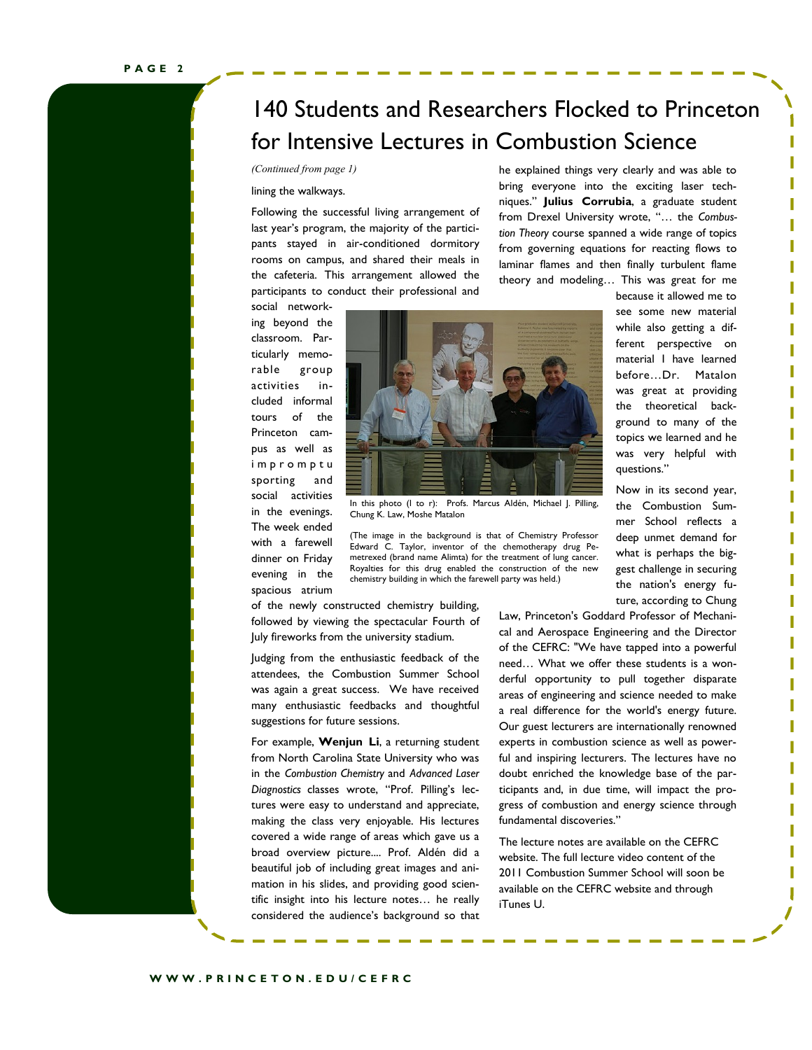# 140 Students and Researchers Flocked to Princeton for Intensive Lectures in Combustion Science

#### lining the walkways.

Following the successful living arrangement of last year's program, the majority of the participants stayed in air-conditioned dormitory rooms on campus, and shared their meals in the cafeteria. This arrangement allowed the participants to conduct their professional and

*(Continued from page 1)* he explained things very clearly and was able to bring everyone into the exciting laser techniques.‖ **Julius Corrubia**, a graduate student from Drexel University wrote, "... the Combus*tion Theory* course spanned a wide range of topics from governing equations for reacting flows to laminar flames and then finally turbulent flame theory and modeling… This was great for me

social networking beyond the classroom. Particularly memorable group activities included informal tours of the Princeton campus as well as i m p r o m p t u sporting and social activities in the evenings. The week ended with a farewell dinner on Friday evening in the

spacious atrium



In this photo (l to r): Profs. Marcus Aldén, Michael J. Pilling, Chung K. Law, Moshe Matalon

(The image in the background is that of Chemistry Professor Edward C. Taylor, inventor of the [chemotherapy](http://en.wikipedia.org/wiki/Chemotherapy) drug [Pe](http://en.wikipedia.org/wiki/Pemetrexed)[metrexed](http://en.wikipedia.org/wiki/Pemetrexed) (brand name Alimta) for the treatment of lung cancer. Royalties for this drug enabled the construction of the new chemistry building in which the farewell party was held.)

of the newly constructed chemistry building, followed by viewing the spectacular Fourth of July fireworks from the university stadium.

Judging from the enthusiastic feedback of the attendees, the Combustion Summer School was again a great success. We have received many enthusiastic feedbacks and thoughtful suggestions for future sessions.

For example, **Wenjun Li**, a returning student from North Carolina State University who was in the *Combustion Chemistry* and *Advanced Laser*  Diagnostics classes wrote, "Prof. Pilling's lectures were easy to understand and appreciate, making the class very enjoyable. His lectures covered a wide range of areas which gave us a broad overview picture.... Prof. Aldén did a beautiful job of including great images and animation in his slides, and providing good scientific insight into his lecture notes… he really considered the audience's background so that see some new material while also getting a different perspective on material I have learned before…Dr. Matalon was great at providing the theoretical background to many of the topics we learned and he was very helpful with questions.‖

because it allowed me to

Now in its second year, the Combustion Summer School reflects a deep unmet demand for what is perhaps the biggest challenge in securing the nation's energy future, according to Chung

Law, Princeton's Goddard Professor of Mechanical and Aerospace Engineering and the Director of the CEFRC: "We have tapped into a powerful need… What we offer these students is a wonderful opportunity to pull together disparate areas of engineering and science needed to make a real difference for the world's energy future. Our guest lecturers are internationally renowned experts in combustion science as well as powerful and inspiring lecturers. The lectures have no doubt enriched the knowledge base of the participants and, in due time, will impact the progress of combustion and energy science through fundamental discoveries."

The lecture notes are available on the CEFRC website. The full lecture video content of the 2011 Combustion Summer School will soon be available on the CEFRC website and through iTunes U.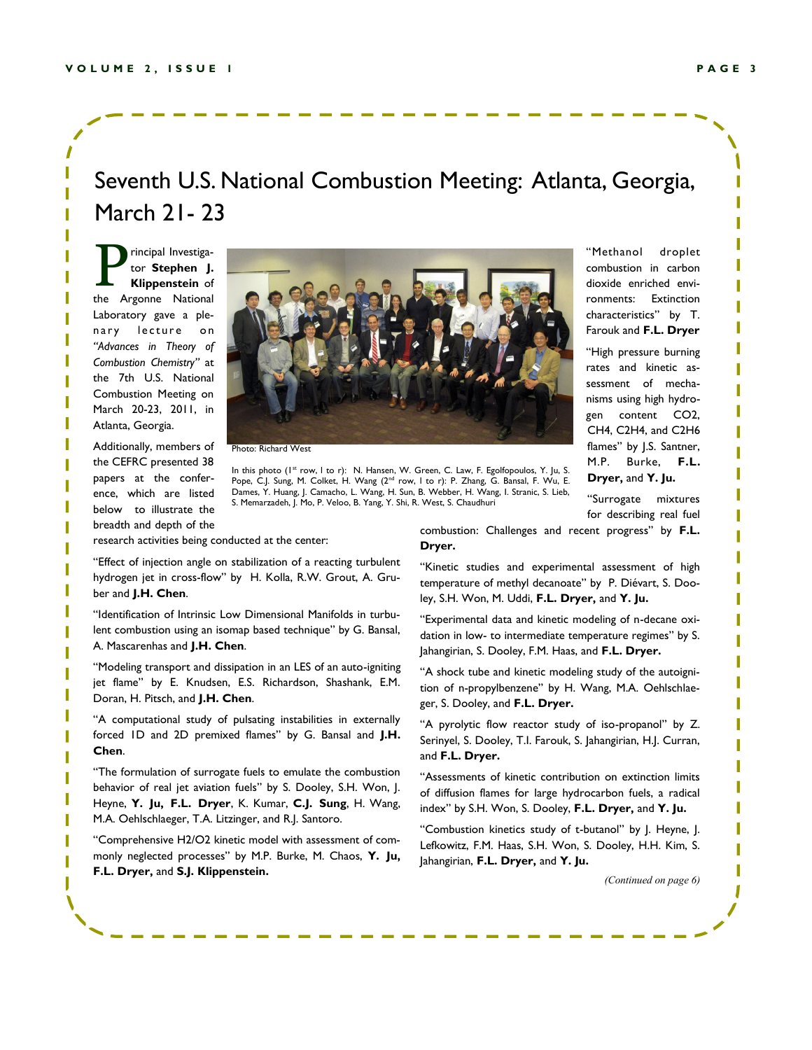### Seventh U.S. National Combustion Meeting: Atlanta, Georgia, March 21- 23

P rincipal Investigator **Stephen J. Klippenstein** of the Argonne National Laboratory gave a plenary lecture on *"Advances in Theory of Combustion Chemistry"* at the 7th U.S. National Combustion Meeting on March 20-23, 2011, in Atlanta, Georgia.

Additionally, members of the CEFRC presented 38 papers at the conference, which are listed below to illustrate the breadth and depth of the



Photo: Richard West

In this photo (I<sup>st</sup> row, I to r): N. Hansen, W. Green, C. Law, F. Egolfopoulos, Y. Ju, S. Pope, C.J. Sung, M. Colket, H. Wang (2<sup>nd</sup> row, I to r): P. Zhang, G. Bansal, F. Wu, E. Dames, Y. Huang, J. Camacho, L. Wang, H. Sun, B. Webber, H. Wang, I. Stranic, S. Lieb, S. Memarzadeh, J. Mo, P. Veloo, B. Yang, Y. Shi, R. West, S. Chaudhuri

"Methanol droplet combustion in carbon dioxide enriched environments: Extinction characteristics" by T. Farouk and **F.L. Dryer**

"High pressure burning rates and kinetic assessment of mechanisms using high hydrogen content CO2, CH4, C2H4, and C2H6 flames" by J.S. Santner, M.P. Burke, **F.L. Dryer,** and **Y. Ju.**

―Surrogate mixtures for describing real fuel

research activities being conducted at the center:

"Effect of injection angle on stabilization of a reacting turbulent hydrogen jet in cross-flow" by H. Kolla, R.W. Grout, A. Gruber and **J.H. Chen**.

"Identification of Intrinsic Low Dimensional Manifolds in turbulent combustion using an isomap based technique" by G. Bansal, A. Mascarenhas and **J.H. Chen**.

"Modeling transport and dissipation in an LES of an auto-igniting jet flame" by E. Knudsen, E.S. Richardson, Shashank, E.M. Doran, H. Pitsch, and **J.H. Chen**.

"A computational study of pulsating instabilities in externally forced ID and 2D premixed flames" by G. Bansal and J.H. **Chen**.

"The formulation of surrogate fuels to emulate the combustion behavior of real jet aviation fuels" by S. Dooley, S.H. Won, J. Heyne, **Y. Ju, F.L. Dryer**, K. Kumar, **C.J. Sung**, H. Wang, M.A. Oehlschlaeger, T.A. Litzinger, and R.J. Santoro.

―Comprehensive H2/O2 kinetic model with assessment of commonly neglected processes" by M.P. Burke, M. Chaos, Y. Ju, **F.L. Dryer,** and **S.J. Klippenstein.**

combustion: Challenges and recent progress" by F.L. **Dryer.**

"Kinetic studies and experimental assessment of high temperature of methyl decanoate" by P. Diévart, S. Dooley, S.H. Won, M. Uddi, **F.L. Dryer,** and **Y. Ju.**

―Experimental data and kinetic modeling of n-decane oxidation in low- to intermediate temperature regimes" by S. Jahangirian, S. Dooley, F.M. Haas, and **F.L. Dryer.**

"A shock tube and kinetic modeling study of the autoignition of n-propylbenzene" by H. Wang, M.A. Oehlschlaeger, S. Dooley, and **F.L. Dryer.**

"A pyrolytic flow reactor study of iso-propanol" by Z. Serinyel, S. Dooley, T.I. Farouk, S. Jahangirian, H.J. Curran, and **F.L. Dryer.**

"Assessments of kinetic contribution on extinction limits of diffusion flames for large hydrocarbon fuels, a radical index‖ by S.H. Won, S. Dooley, **F.L. Dryer,** and **Y. Ju.**

"Combustion kinetics study of t-butanol" by J. Heyne, J. Lefkowitz, F.M. Haas, S.H. Won, S. Dooley, H.H. Kim, S. Jahangirian, **F.L. Dryer,** and **Y. Ju.**

*(Continued on page 6)*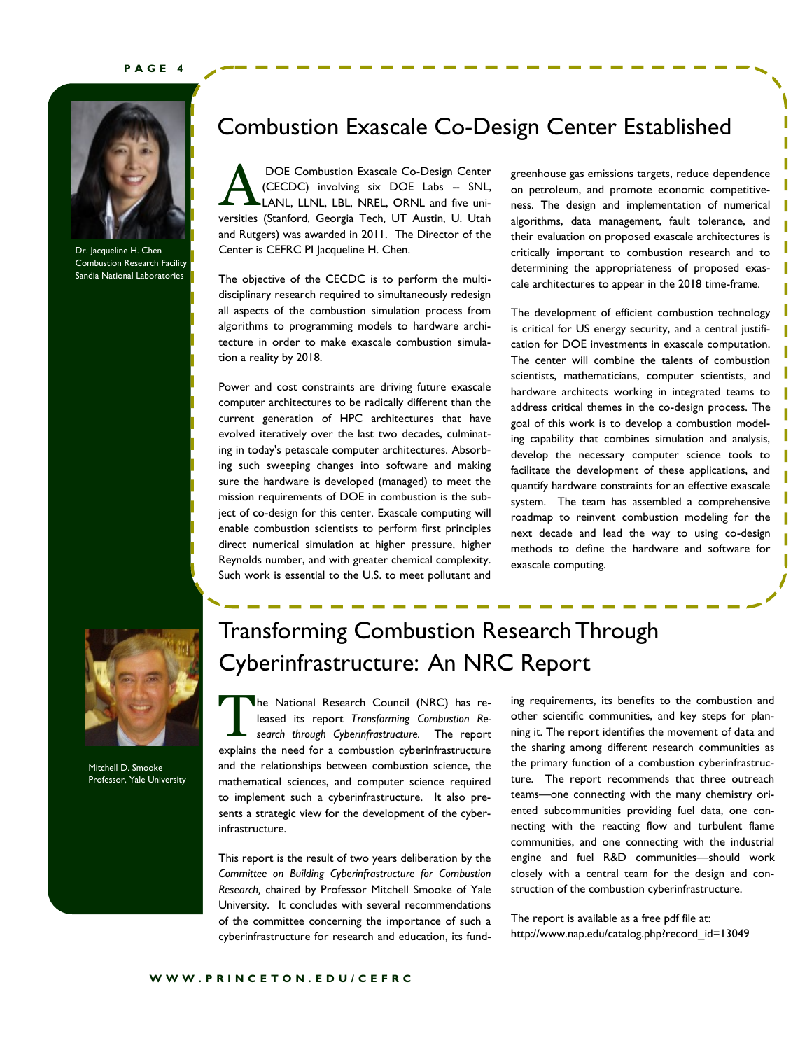#### **P A G E 4**



Dr. Jacqueline H. Chen Combustion Research Facility Sandia National Laboratories

### Combustion Exascale Co-Design Center Established

A DOE Combustion Exascale Co-Design Center (CECDC) involving six DOE Labs -- SNL, LANL, LLNL, LBL, NREL, ORNL and five universities (Stanford, Georgia Tech, UT Austin, U. Utah and Rutgers) was awarded in 2011. The Director of the Center is CEFRC PI Jacqueline H. Chen.

The objective of the CECDC is to perform the multidisciplinary research required to simultaneously redesign all aspects of the combustion simulation process from algorithms to programming models to hardware architecture in order to make exascale combustion simulation a reality by 2018.

Power and cost constraints are driving future exascale computer architectures to be radically different than the current generation of HPC architectures that have evolved iteratively over the last two decades, culminating in today's petascale computer architectures. Absorbing such sweeping changes into software and making sure the hardware is developed (managed) to meet the mission requirements of DOE in combustion is the subject of co-design for this center. Exascale computing will enable combustion scientists to perform first principles direct numerical simulation at higher pressure, higher Reynolds number, and with greater chemical complexity. Such work is essential to the U.S. to meet pollutant and

greenhouse gas emissions targets, reduce dependence on petroleum, and promote economic competitiveness. The design and implementation of numerical algorithms, data management, fault tolerance, and their evaluation on proposed exascale architectures is critically important to combustion research and to determining the appropriateness of proposed exascale architectures to appear in the 2018 time-frame.

The development of efficient combustion technology is critical for US energy security, and a central justification for DOE investments in exascale computation. The center will combine the talents of combustion scientists, mathematicians, computer scientists, and hardware architects working in integrated teams to address critical themes in the co-design process. The goal of this work is to develop a combustion modeling capability that combines simulation and analysis, develop the necessary computer science tools to facilitate the development of these applications, and quantify hardware constraints for an effective exascale system. The team has assembled a comprehensive roadmap to reinvent combustion modeling for the next decade and lead the way to using co-design methods to define the hardware and software for exascale computing.



Mitchell D. Smooke Professor, Yale University

# Transforming Combustion Research Through Cyberinfrastructure: An NRC Report

T he National Research Council (NRC) has released its report *Transforming Combustion Research through Cyberinfrastructure.* The report explains the need for a combustion cyberinfrastructure and the relationships between combustion science, the mathematical sciences, and computer science required to implement such a cyberinfrastructure. It also presents a strategic view for the development of the cyberinfrastructure.

This report is the result of two years deliberation by the *Committee on Building Cyberinfrastructure for Combustion Research,* chaired by Professor Mitchell Smooke of Yale University. It concludes with several recommendations of the committee concerning the importance of such a cyberinfrastructure for research and education, its fund-

ing requirements, its benefits to the combustion and other scientific communities, and key steps for planning it. The report identifies the movement of data and the sharing among different research communities as the primary function of a combustion cyberinfrastructure. The report recommends that three outreach teams—one connecting with the many chemistry oriented subcommunities providing fuel data, one connecting with the reacting flow and turbulent flame communities, and one connecting with the industrial engine and fuel R&D communities—should work closely with a central team for the design and construction of the combustion cyberinfrastructure.

The report is available as a free pdf file at: http://www.nap.edu/catalog.php?record\_id=13049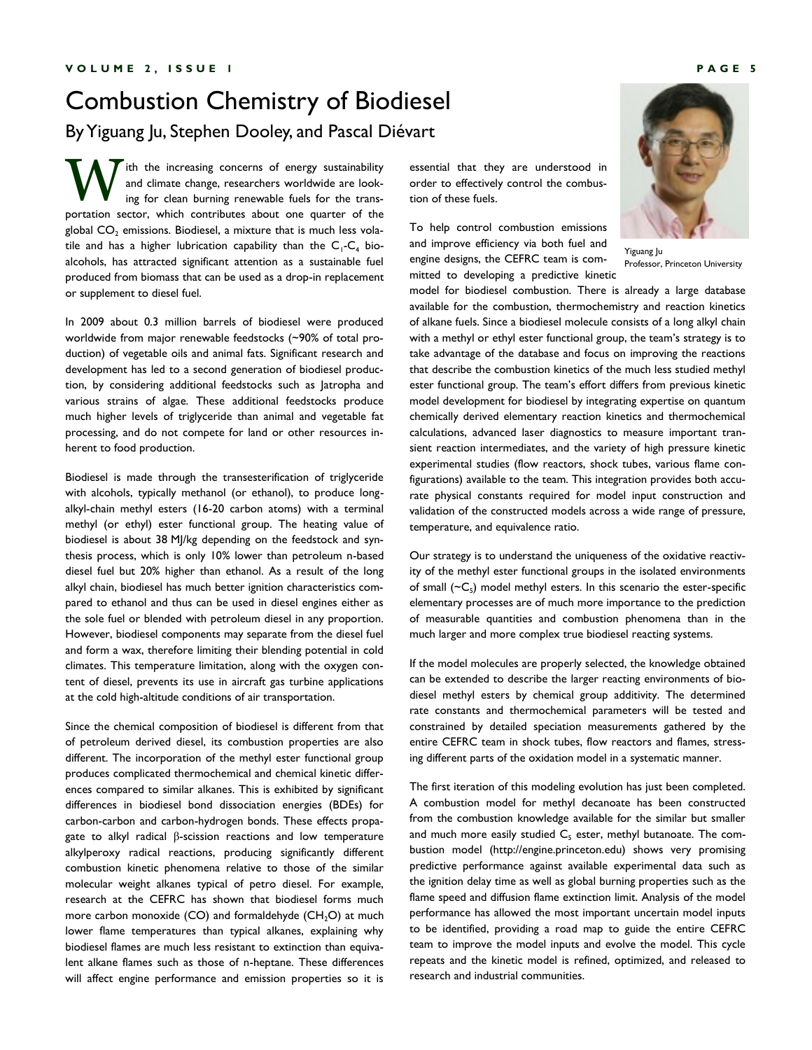### Combustion Chemistry of Biodiesel By Yiguang Ju, Stephen Dooley, and Pascal Diévart

W ith the increasing concerns of energy sustainability and climate change, researchers worldwide are looking for clean burning renewable fuels for the transportation sector, which contributes about one quarter of the global  $CO<sub>2</sub>$  emissions. Biodiesel, a mixture that is much less volatile and has a higher lubrication capability than the  $C_1$ - $C_4$  bioalcohols, has attracted significant attention as a sustainable fuel produced from biomass that can be used as a drop-in replacement or supplement to diesel fuel.

In 2009 about 0.3 million barrels of biodiesel were produced worldwide from major renewable feedstocks (~90% of total production) of vegetable oils and animal fats. Significant research and development has led to a second generation of biodiesel production, by considering additional feedstocks such as Jatropha and various strains of algae. These additional feedstocks produce much higher levels of triglyceride than animal and vegetable fat processing, and do not compete for land or other resources inherent to food production.

Biodiesel is made through the transesterification of triglyceride with alcohols, typically methanol (or ethanol), to produce longalkyl-chain methyl esters (16-20 carbon atoms) with a terminal methyl (or ethyl) ester functional group. The heating value of biodiesel is about 38 MJ/kg depending on the feedstock and synthesis process, which is only 10% lower than petroleum n-based diesel fuel but 20% higher than ethanol. As a result of the long alkyl chain, biodiesel has much better ignition characteristics compared to ethanol and thus can be used in diesel engines either as the sole fuel or blended with petroleum diesel in any proportion. However, biodiesel components may separate from the diesel fuel and form a wax, therefore limiting their blending potential in cold climates. This temperature limitation, along with the oxygen content of diesel, prevents its use in aircraft gas turbine applications at the cold high-altitude conditions of air transportation.

Since the chemical composition of biodiesel is different from that of petroleum derived diesel, its combustion properties are also different. The incorporation of the methyl ester functional group produces complicated thermochemical and chemical kinetic differences compared to similar alkanes. This is exhibited by significant differences in biodiesel bond dissociation energies (BDEs) for carbon-carbon and carbon-hydrogen bonds. These effects propagate to alkyl radical β-scission reactions and low temperature alkylperoxy radical reactions, producing significantly different combustion kinetic phenomena relative to those of the similar molecular weight alkanes typical of petro diesel. For example, research at the CEFRC has shown that biodiesel forms much more carbon monoxide  $(CO)$  and formaldehyde  $(CH<sub>2</sub>O)$  at much lower flame temperatures than typical alkanes, explaining why biodiesel flames are much less resistant to extinction than equivalent alkane flames such as those of n-heptane. These differences will affect engine performance and emission properties so it is

essential that they are understood in order to effectively control the combustion of these fuels.

To help control combustion emissions and improve efficiency via both fuel and engine designs, the CEFRC team is committed to developing a predictive kinetic



Yiguang Ju Professor, Princeton University

model for biodiesel combustion. There is already a large database available for the combustion, thermochemistry and reaction kinetics of alkane fuels. Since a biodiesel molecule consists of a long alkyl chain with a methyl or ethyl ester functional group, the team's strategy is to take advantage of the database and focus on improving the reactions that describe the combustion kinetics of the much less studied methyl ester functional group. The team's effort differs from previous kinetic model development for biodiesel by integrating expertise on quantum chemically derived elementary reaction kinetics and thermochemical calculations, advanced laser diagnostics to measure important transient reaction intermediates, and the variety of high pressure kinetic experimental studies (flow reactors, shock tubes, various flame configurations) available to the team. This integration provides both accurate physical constants required for model input construction and validation of the constructed models across a wide range of pressure, temperature, and equivalence ratio.

Our strategy is to understand the uniqueness of the oxidative reactivity of the methyl ester functional groups in the isolated environments of small  $({\sim}C_{5})$  model methyl esters. In this scenario the ester-specific elementary processes are of much more importance to the prediction of measurable quantities and combustion phenomena than in the much larger and more complex true biodiesel reacting systems.

If the model molecules are properly selected, the knowledge obtained can be extended to describe the larger reacting environments of biodiesel methyl esters by chemical group additivity. The determined rate constants and thermochemical parameters will be tested and constrained by detailed speciation measurements gathered by the entire CEFRC team in shock tubes, flow reactors and flames, stressing different parts of the oxidation model in a systematic manner.

The first iteration of this modeling evolution has just been completed. A combustion model for methyl decanoate has been constructed from the combustion knowledge available for the similar but smaller and much more easily studied  $C_5$  ester, methyl butanoate. The combustion model (http://engine.princeton.edu) shows very promising predictive performance against available experimental data such as the ignition delay time as well as global burning properties such as the flame speed and diffusion flame extinction limit. Analysis of the model performance has allowed the most important uncertain model inputs to be identified, providing a road map to guide the entire CEFRC team to improve the model inputs and evolve the model. This cycle repeats and the kinetic model is refined, optimized, and released to research and industrial communities.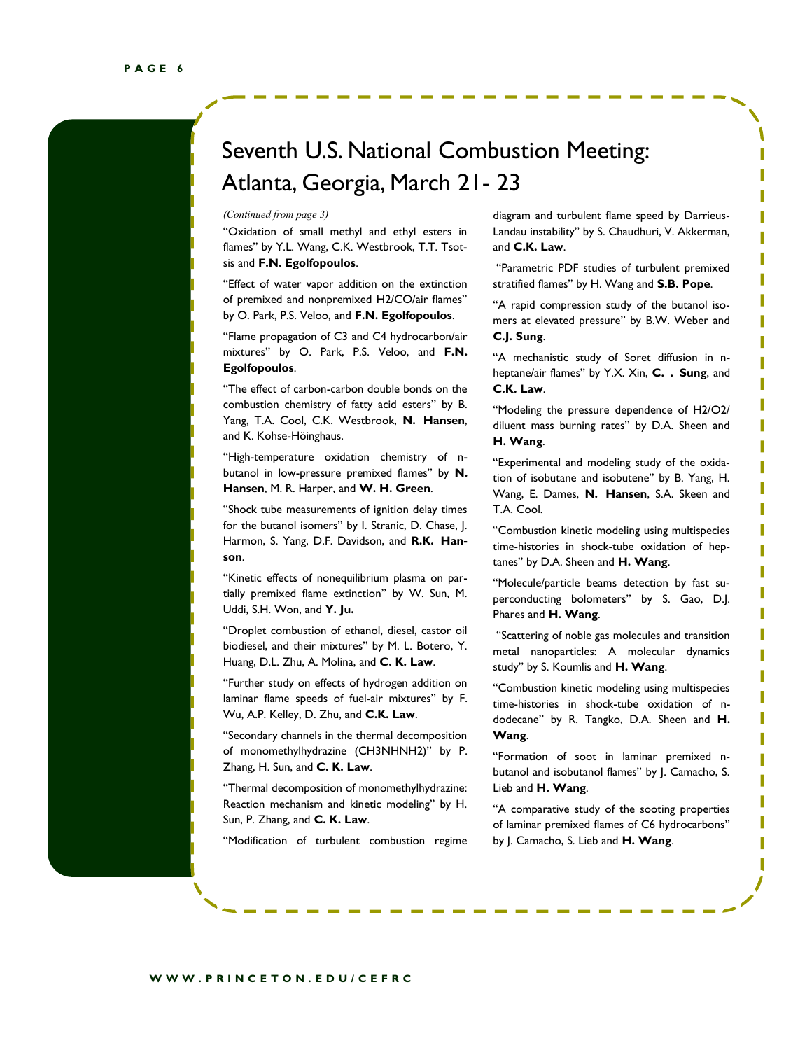### Seventh U.S. National Combustion Meeting: Atlanta, Georgia, March 21- 23

―Oxidation of small methyl and ethyl esters in flames" by Y.L. Wang, C.K. Westbrook, T.T. Tsotsis and **F.N. Egolfopoulos**.

"Effect of water vapor addition on the extinction of premixed and nonpremixed H2/CO/air flames" by O. Park, P.S. Veloo, and **F.N. Egolfopoulos**.

"Flame propagation of C3 and C4 hydrocarbon/air mixtures‖ by O. Park, P.S. Veloo, and **F.N. Egolfopoulos**.

"The effect of carbon-carbon double bonds on the combustion chemistry of fatty acid esters" by B. Yang, T.A. Cool, C.K. Westbrook, **N. Hansen**, and K. Kohse-Höinghaus.

"High-temperature oxidation chemistry of nbutanol in low-pressure premixed flames" by N. **Hansen**, M. R. Harper, and **W. H. Green**.

"Shock tube measurements of ignition delay times for the butanol isomers" by I. Stranic, D. Chase, J. Harmon, S. Yang, D.F. Davidson, and **R.K. Hanson**.

―Kinetic effects of nonequilibrium plasma on partially premixed flame extinction" by W. Sun, M. Uddi, S.H. Won, and **Y. Ju.**

"Droplet combustion of ethanol, diesel, castor oil biodiesel, and their mixtures" by M. L. Botero, Y. Huang, D.L. Zhu, A. Molina, and **C. K. Law**.

"Further study on effects of hydrogen addition on laminar flame speeds of fuel-air mixtures" by F. Wu, A.P. Kelley, D. Zhu, and **C.K. Law**.

"Secondary channels in the thermal decomposition of monomethylhydrazine (CH3NHNH2)" by P. Zhang, H. Sun, and **C. K. Law**.

―Thermal decomposition of monomethylhydrazine: Reaction mechanism and kinetic modeling" by H. Sun, P. Zhang, and **C. K. Law**.

"Modification of turbulent combustion regime

*(Continued from page 3)* diagram and turbulent flame speed by Darrieus-Landau instability" by S. Chaudhuri, V. Akkerman, and **C.K. Law**.

> "Parametric PDF studies of turbulent premixed stratified flames" by H. Wang and **S.B. Pope**.

> "A rapid compression study of the butanol isomers at elevated pressure" by B.W. Weber and **C.J. Sung**.

> ―A mechanistic study of Soret diffusion in nheptane/air flames" by Y.X. Xin, C. . Sung, and **C.K. Law**.

> "Modeling the pressure dependence of H2/O2/ diluent mass burning rates" by D.A. Sheen and **H. Wang**.

> "Experimental and modeling study of the oxidation of isobutane and isobutene" by B. Yang, H. Wang, E. Dames, **N. Hansen**, S.A. Skeen and T.A. Cool.

> ―Combustion kinetic modeling using multispecies time-histories in shock-tube oxidation of heptanes" by D.A. Sheen and H. Wang.

> "Molecule/particle beams detection by fast superconducting bolometers" by S. Gao, D.J. Phares and **H. Wang**.

> "Scattering of noble gas molecules and transition metal nanoparticles: A molecular dynamics study" by S. Koumlis and H. Wang.

> ―Combustion kinetic modeling using multispecies time-histories in shock-tube oxidation of ndodecane" by R. Tangko, D.A. Sheen and H. **Wang**.

> ―Formation of soot in laminar premixed nbutanol and isobutanol flames" by J. Camacho, S. Lieb and **H. Wang**.

> "A comparative study of the sooting properties of laminar premixed flames of C6 hydrocarbons" by J. Camacho, S. Lieb and **H. Wang**.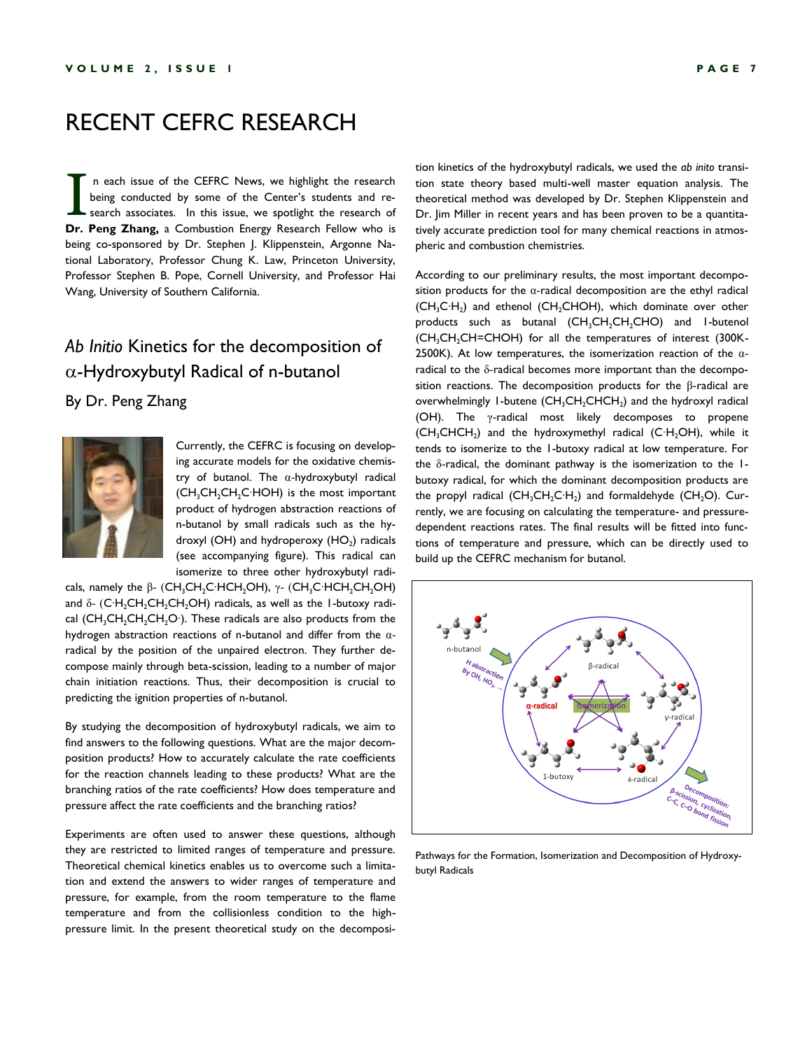### RECENT CEFRC RESEARCH

I n each issue of the CEFRC News, we highlight the research being conducted by some of the Center's students and research associates. In this issue, we spotlight the research of **Dr. Peng Zhang,** a Combustion Energy Research Fellow who is being co-sponsored by Dr. Stephen J. Klippenstein, Argonne National Laboratory, Professor Chung K. Law, Princeton University, Professor Stephen B. Pope, Cornell University, and Professor Hai Wang, University of Southern California.

#### *Ab Initio* Kinetics for the decomposition of  $\alpha$ -Hydroxybutyl Radical of n-butanol

#### By Dr. Peng Zhang



Currently, the CEFRC is focusing on developing accurate models for the oxidative chemistry of butanol. The α-hydroxybutyl radical (CH<sub>3</sub>CH<sub>2</sub>C<sup>+</sup>HOH) is the most important product of hydrogen abstraction reactions of n-butanol by small radicals such as the hydroxyl (OH) and hydroperoxy  $(HO<sub>2</sub>)$  radicals (see accompanying figure). This radical can isomerize to three other hydroxybutyl radi-

cals, namely the β- (CH<sub>3</sub>CH<sub>2</sub>C⋅HCH<sub>2</sub>OH), γ- (CH<sub>3</sub>C⋅HCH<sub>2</sub>CH<sub>2</sub>OH) and  $\delta$ - (C⋅H<sub>2</sub>CH<sub>2</sub>CH<sub>2</sub>CH<sub>2</sub>OH) radicals, as well as the 1-butoxy radical (CH<sub>3</sub>CH<sub>2</sub>CH<sub>2</sub>CH<sub>2</sub>O∙). These radicals are also products from the hydrogen abstraction reactions of n-butanol and differ from the αradical by the position of the unpaired electron. They further decompose mainly through beta-scission, leading to a number of major chain initiation reactions. Thus, their decomposition is crucial to predicting the ignition properties of n-butanol.

By studying the decomposition of hydroxybutyl radicals, we aim to find answers to the following questions. What are the major decomposition products? How to accurately calculate the rate coefficients for the reaction channels leading to these products? What are the branching ratios of the rate coefficients? How does temperature and pressure affect the rate coefficients and the branching ratios?

Experiments are often used to answer these questions, although they are restricted to limited ranges of temperature and pressure. Theoretical chemical kinetics enables us to overcome such a limitation and extend the answers to wider ranges of temperature and pressure, for example, from the room temperature to the flame temperature and from the collisionless condition to the highpressure limit. In the present theoretical study on the decomposi-

tion kinetics of the hydroxybutyl radicals, we used the *ab inito* transition state theory based multi-well master equation analysis. The theoretical method was developed by Dr. Stephen Klippenstein and Dr. Jim Miller in recent years and has been proven to be a quantitatively accurate prediction tool for many chemical reactions in atmospheric and combustion chemistries.

According to our preliminary results, the most important decomposition products for the  $\alpha$ -radical decomposition are the ethyl radical (CH<sub>3</sub>C⋅H<sub>2</sub>) and ethenol (CH<sub>2</sub>CHOH), which dominate over other products such as butanal  $(CH_3CH_2CH_2CHO)$  and 1-butenol (CH<sub>3</sub>CH<sub>2</sub>CH=CHOH) for all the temperatures of interest (300K-2500K). At low temperatures, the isomerization reaction of the  $\alpha$ radical to the δ-radical becomes more important than the decomposition reactions. The decomposition products for the β-radical are overwhelmingly 1-butene  $(CH_3CH_2CHCH_2)$  and the hydroxyl radical (OH). The γ-radical most likely decomposes to propene (CH<sub>3</sub>CHCH<sub>2</sub>) and the hydroxymethyl radical (C∙H<sub>2</sub>OH), while it tends to isomerize to the 1-butoxy radical at low temperature. For the δ-radical, the dominant pathway is the isomerization to the 1 butoxy radical, for which the dominant decomposition products are the propyl radical (CH<sub>3</sub>CH<sub>2</sub>C∙H<sub>2</sub>) and formaldehyde (CH<sub>2</sub>O). Currently, we are focusing on calculating the temperature- and pressuredependent reactions rates. The final results will be fitted into functions of temperature and pressure, which can be directly used to build up the CEFRC mechanism for butanol.



Pathways for the Formation, Isomerization and Decomposition of Hydroxybutyl Radicals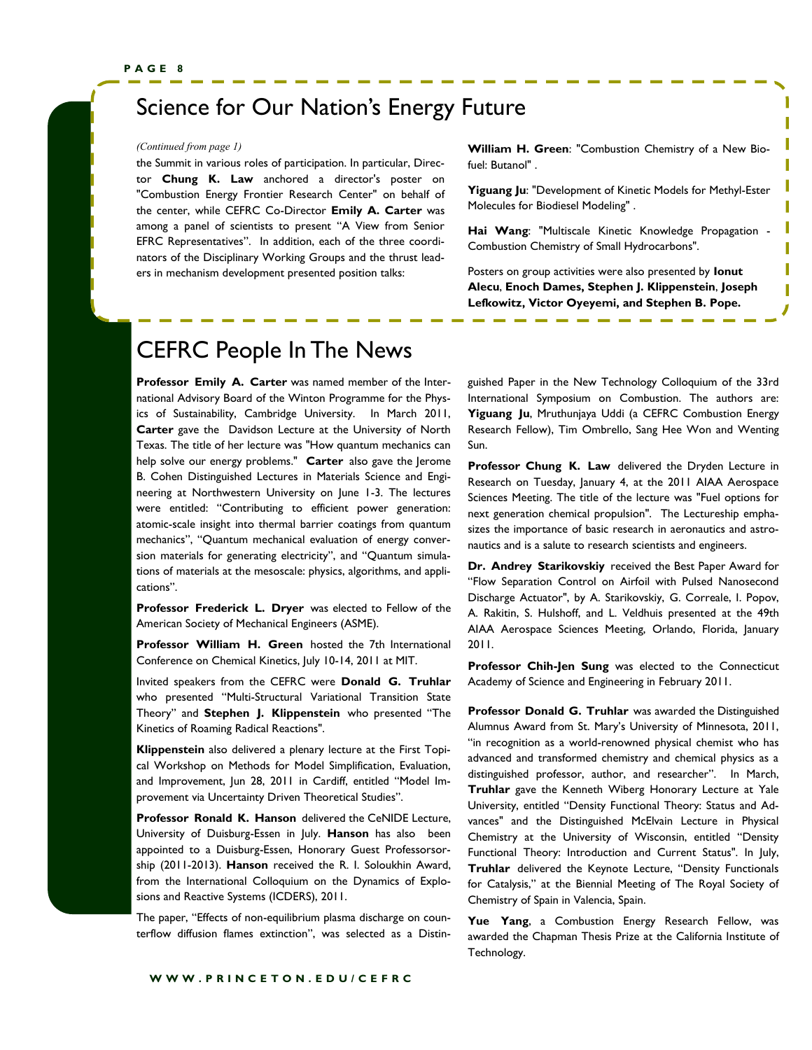### Science for Our Nation's Energy Future

the Summit in various roles of participation. In particular, Director **Chung K. Law** anchored a director's poster on "Combustion Energy Frontier Research Center" on behalf of the center, while CEFRC Co-Director **Emily A. Carter** was among a panel of scientists to present "A View from Senior EFRC Representatives". In addition, each of the three coordinators of the Disciplinary Working Groups and the thrust leaders in mechanism development presented position talks:

*(Continued from page 1)* **William H. Green**: "Combustion Chemistry of a New Biofuel: Butanol" .

ı

**Yiguang Ju**: "Development of Kinetic Models for Methyl-Ester Molecules for Biodiesel Modeling" .

**Hai Wang**: "Multiscale Kinetic Knowledge Propagation - Combustion Chemistry of Small Hydrocarbons".

Posters on group activities were also presented by **Ionut Alecu**, **Enoch Dames, Stephen J. Klippenstein**, **Joseph Lefkowitz, Victor Oyeyemi, and Stephen B. Pope.**

### CEFRC People In The News

**Professor Emily A. Carter** was named member of the International Advisory Board of the Winton Programme for the Physics of Sustainability, Cambridge University. In March 2011, **Carter** gave the Davidson Lecture at the University of North Texas. The title of her lecture was "How quantum mechanics can help solve our energy problems." **Carter** also gave the Jerome B. Cohen Distinguished Lectures in Materials Science and Engineering at Northwestern University on June 1-3. The lectures were entitled: "Contributing to efficient power generation: atomic-scale insight into thermal barrier coatings from quantum mechanics", "Quantum mechanical evaluation of energy conversion materials for generating electricity", and "Quantum simulations of materials at the mesoscale: physics, algorithms, and applications".

**Professor Frederick L. Dryer** was elected to Fellow of the American Society of Mechanical Engineers (ASME).

**Professor William H. Green** hosted the 7th International Conference on Chemical Kinetics, July 10-14, 2011 at MIT.

Invited speakers from the CEFRC were **Donald G. Truhlar** who presented "Multi-Structural Variational Transition State Theory" and Stephen J. Klippenstein who presented "The Kinetics of Roaming Radical Reactions".

**Klippenstein** also delivered a plenary lecture at the First Topical Workshop on Methods for Model Simplification, Evaluation, and Improvement, Jun 28, 2011 in Cardiff, entitled "Model Improvement via Uncertainty Driven Theoretical Studies".

**Professor Ronald K. Hanson** delivered the CeNIDE Lecture, University of Duisburg-Essen in July. **Hanson** has also been appointed to a Duisburg-Essen, Honorary Guest Professorsorship (2011-2013). **Hanson** received the R. I. Soloukhin Award, from the International Colloquium on the Dynamics of Explosions and Reactive Systems (ICDERS), 2011.

The paper, "Effects of non-equilibrium plasma discharge on counterflow diffusion flames extinction", was selected as a Distinguished Paper in the New Technology Colloquium of the 33rd International Symposium on Combustion. The authors are: **Yiguang Ju**, Mruthunjaya Uddi (a CEFRC Combustion Energy Research Fellow), Tim Ombrello, Sang Hee Won and Wenting Sun.

**Professor Chung K. Law** delivered the Dryden Lecture in Research on Tuesday, January 4, at the 2011 AIAA Aerospace Sciences Meeting. The title of the lecture was "Fuel options for next generation chemical propulsion". The Lectureship emphasizes the importance of basic research in aeronautics and astronautics and is a salute to research scientists and engineers.

**Dr. Andrey Starikovskiy** received the Best Paper Award for "Flow Separation Control on Airfoil with Pulsed Nanosecond Discharge Actuator", by A. Starikovskiy, G. Correale, I. Popov, A. Rakitin, S. Hulshoff, and L. Veldhuis presented at the 49th AIAA Aerospace Sciences Meeting, Orlando, Florida, January 2011.

**Professor Chih-Jen Sung** was elected to the Connecticut Academy of Science and Engineering in February 2011.

**Professor Donald G. Truhlar** was awarded the Distinguished Alumnus Award from St. Mary's University of Minnesota, 2011, "in recognition as a world-renowned physical chemist who has advanced and transformed chemistry and chemical physics as a distinguished professor, author, and researcher". In March, **Truhlar** gave the Kenneth Wiberg Honorary Lecture at Yale University, entitled "Density Functional Theory: Status and Advances" and the Distinguished McElvain Lecture in Physical Chemistry at the University of Wisconsin, entitled "Density Functional Theory: Introduction and Current Status". In July, Truhlar delivered the Keynote Lecture, "Density Functionals for Catalysis," at the Biennial Meeting of The Royal Society of Chemistry of Spain in Valencia, Spain.

**Yue Yang**, a Combustion Energy Research Fellow, was awarded the Chapman Thesis Prize at the California Institute of Technology.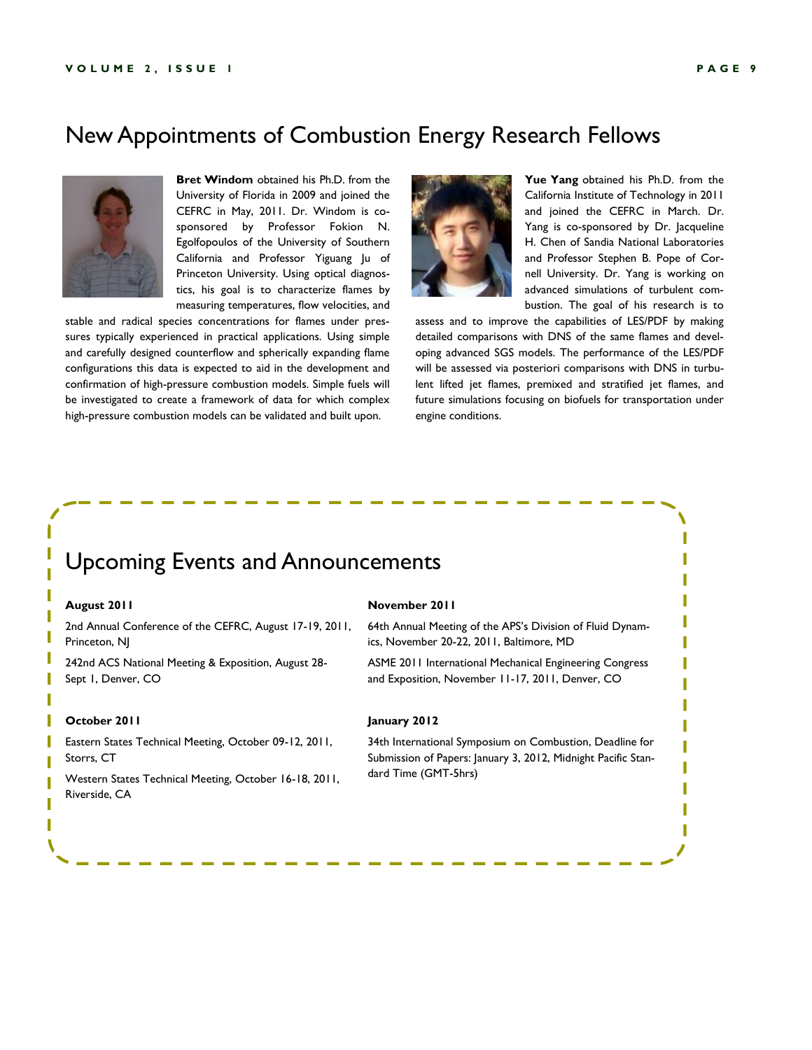#### New Appointments of Combustion Energy Research Fellows



**Bret Windom** obtained his Ph.D. from the University of Florida in 2009 and joined the CEFRC in May, 2011. Dr. Windom is cosponsored by Professor Fokion N. Egolfopoulos of the University of Southern California and Professor Yiguang Ju of Princeton University. Using optical diagnostics, his goal is to characterize flames by measuring temperatures, flow velocities, and

stable and radical species concentrations for flames under pressures typically experienced in practical applications. Using simple and carefully designed counterflow and spherically expanding flame configurations this data is expected to aid in the development and confirmation of high-pressure combustion models. Simple fuels will be investigated to create a framework of data for which complex high-pressure combustion models can be validated and built upon.



**Yue Yang** obtained his Ph.D. from the California Institute of Technology in 2011 and joined the CEFRC in March. Dr. Yang is co-sponsored by Dr. Jacqueline H. Chen of Sandia National Laboratories and Professor Stephen B. Pope of Cornell University. Dr. Yang is working on advanced simulations of turbulent combustion. The goal of his research is to

> I ſ I I

> I I I

assess and to improve the capabilities of LES/PDF by making detailed comparisons with DNS of the same flames and developing advanced SGS models. The performance of the LES/PDF will be assessed via posteriori comparisons with DNS in turbulent lifted jet flames, premixed and stratified jet flames, and future simulations focusing on biofuels for transportation under engine conditions.

#### Upcoming Events and Announcements

#### **August 2011**

2nd Annual Conference of the CEFRC, August 17-19, 2011, Princeton, NJ

242nd ACS National Meeting & Exposition, August 28- Sept 1, Denver, CO

#### **October 2011**

Eastern States Technical Meeting, October 09-12, 2011, Storrs, CT

Western States Technical Meeting, October 16-18, 2011, Riverside, CA

#### **November 2011**

64th Annual Meeting of the APS's Division of Fluid Dynamics, November 20-22, 2011, Baltimore, MD

ASME 2011 International Mechanical Engineering Congress and Exposition, November 11-17, 2011, Denver, CO

#### **January 2012**

34th International Symposium on Combustion, Deadline for Submission of Papers: January 3, 2012, Midnight Pacific Standard Time (GMT-5hrs)